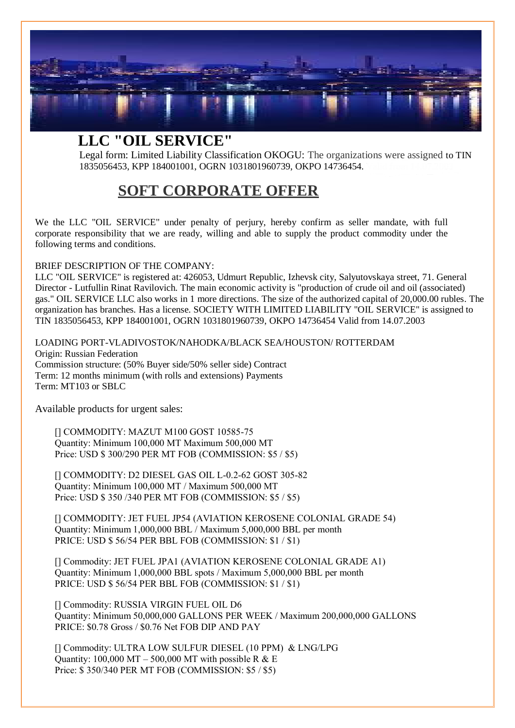

## **LLC "OIL SERVICE"**

Legal form: Limited Liability Classification OKOGU: The organizations were assigned to TIN 1835056453, KPP 184001001, OGRN 1031801960739, OKPO 14736454.

## **SOFT CORPORATE OFFER**

We the LLC "OIL SERVICE" under penalty of perjury, hereby confirm as seller mandate, with full corporate responsibility that we are ready, willing and able to supply the product commodity under the following terms and conditions.

#### BRIEF DESCRIPTION OF THE COMPANY:

LLC "OIL SERVICE" is registered at: 426053, Udmurt Republic, Izhevsk city, Salyutovskaya street, 71. General Director - Lutfullin Rinat Ravilovich. The main economic activity is "production of crude oil and oil (associated) gas." OIL SERVICE LLC also works in 1 more directions. The size of the authorized capital of 20,000.00 rubles. The organization has branches. Has a license. SOCIETY WITH LIMITED LIABILITY "OIL SERVICE" is assigned to TIN 1835056453, KPP 184001001, OGRN 1031801960739, OKPO 14736454 Valid from 14.07.2003

LOADING PORT-VLADIVOSTOK/NAHODKA/BLACK SEA/HOUSTON/ ROTTERDAM Origin: Russian Federation Commission structure: (50% Buyer side/50% seller side) Contract Term: 12 months minimum (with rolls and extensions) Payments Term: MT103 or SBLC

Available products for urgent sales:

[] COMMODITY: MAZUT M100 GOST 10585-75 Quantity: Minimum 100,000 MT Maximum 500,000 MT Price: USD \$ 300/290 PER MT FOB (COMMISSION: \$5 / \$5)

[] COMMODITY: D2 DIESEL GAS OIL L-0.2-62 GOST 305-82 Quantity: Minimum 100,000 MT / Maximum 500,000 MT Price: USD \$ 350 /340 PER MT FOB (COMMISSION: \$5 / \$5)

[] COMMODITY: JET FUEL JP54 (AVIATION KEROSENE COLONIAL GRADE 54) Quantity: Minimum 1,000,000 BBL / Maximum 5,000,000 BBL per month PRICE: USD \$ 56/54 PER BBL FOB (COMMISSION: \$1 / \$1)

[] Commodity: JET FUEL JPA1 (AVIATION KEROSENE COLONIAL GRADE A1) Quantity: Minimum 1,000,000 BBL spots / Maximum 5,000,000 BBL per month PRICE: USD \$ 56/54 PER BBL FOB (COMMISSION: \$1 / \$1)

[] Commodity: RUSSIA VIRGIN FUEL OIL D6 Quantity: Minimum 50,000,000 GALLONS PER WEEK / Maximum 200,000,000 GALLONS PRICE: \$0.78 Gross / \$0.76 Net FOB DIP AND PAY

[] Commodity: ULTRA LOW SULFUR DIESEL (10 PPM) & LNG/LPG Quantity: 100,000 MT – 500,000 MT with possible R & E Price: \$ 350/340 PER MT FOB (COMMISSION: \$5 / \$5)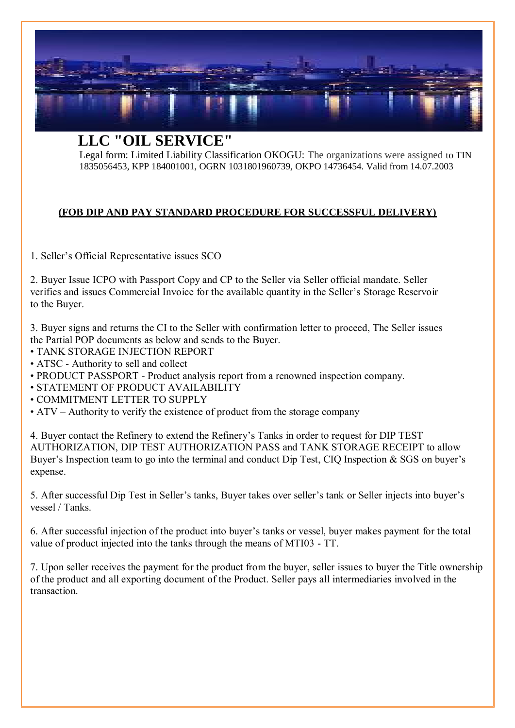

**LLC "OIL SERVICE"**

Legal form: Limited Liability Classification OKOGU: The organizations were assigned to TIN 1835056453, KPP 184001001, OGRN 1031801960739, OKPO 14736454. Valid from 14.07.2003

### **(FOB DIP AND PAY STANDARD PROCEDURE FOR SUCCESSFUL DELIVERY)**

1. Seller's Official Representative issues SCO

2. Buyer Issue ICPO with Passport Copy and CP to the Seller via Seller official mandate. Seller verifies and issues Commercial Invoice for the available quantity in the Seller's Storage Reservoir to the Buyer.

3. Buyer signs and returns the CI to the Seller with confirmation letter to proceed, The Seller issues the Partial POP documents as below and sends to the Buyer.

- TANK STORAGE INJECTION REPORT
- ATSC Authority to sell and collect
- PRODUCT PASSPORT Product analysis report from a renowned inspection company.
- STATEMENT OF PRODUCT AVAILABILITY
- COMMITMENT LETTER TO SUPPLY
- ATV Authority to verify the existence of product from the storage company

4. Buyer contact the Refinery to extend the Refinery's Tanks in order to request for DIP TEST AUTHORIZATION, DIP TEST AUTHORIZATION PASS and TANK STORAGE RECEIPT to allow Buyer's Inspection team to go into the terminal and conduct Dip Test, CIQ Inspection & SGS on buyer's expense.

5. After successful Dip Test in Seller's tanks, Buyer takes over seller's tank or Seller injects into buyer's vessel / Tanks.

6. After successful injection of the product into buyer's tanks or vessel, buyer makes payment for the total value of product injected into the tanks through the means of MTI03 - TT.

7. Upon seller receives the payment for the product from the buyer, seller issues to buyer the Title ownership of the product and all exporting document of the Product. Seller pays all intermediaries involved in the transaction.